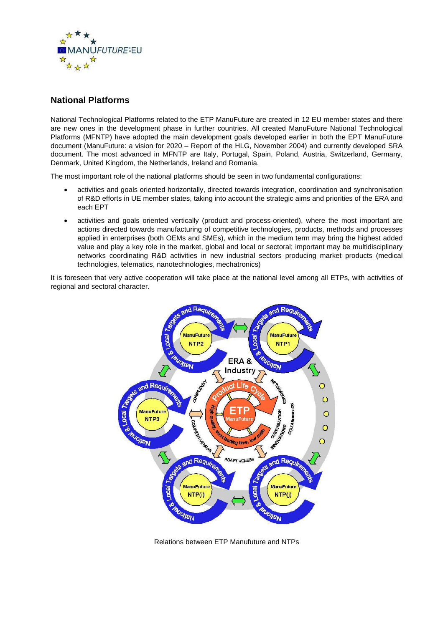

## **National Platforms**

National Technological Platforms related to the ETP ManuFuture are created in 12 EU member states and there are new ones in the development phase in further countries. All created ManuFuture National Technological Platforms (MFNTP) have adopted the main development goals developed earlier in both the EPT ManuFuture document (ManuFuture: a vision for 2020 – Report of the HLG, November 2004) and currently developed SRA document. The most advanced in MFNTP are Italy, Portugal, Spain, Poland, Austria, Switzerland, Germany, Denmark, United Kingdom, the Netherlands, Ireland and Romania.

The most important role of the national platforms should be seen in two fundamental configurations:

- activities and goals oriented horizontally, directed towards integration, coordination and synchronisation of R&D efforts in UE member states, taking into account the strategic aims and priorities of the ERA and each EPT
- activities and goals oriented vertically (product and process-oriented), where the most important are actions directed towards manufacturing of competitive technologies, products, methods and processes applied in enterprises (both OEMs and SMEs), which in the medium term may bring the highest added value and play a key role in the market, global and local or sectoral; important may be multidisciplinary networks coordinating R&D activities in new industrial sectors producing market products (medical technologies, telematics, nanotechnologies, mechatronics)

It is foreseen that very active cooperation will take place at the national level among all ETPs, with activities of regional and sectoral character.



Relations between ETP Manufuture and NTPs